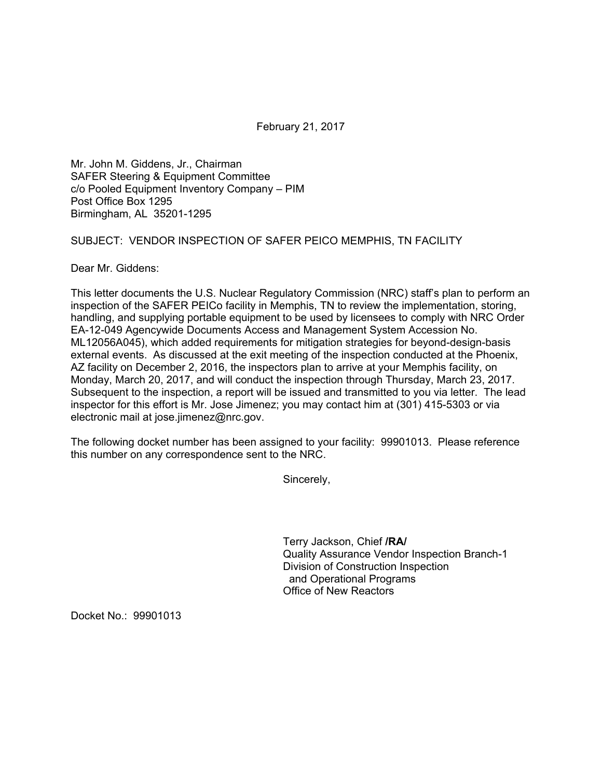February 21, 2017

Mr. John M. Giddens, Jr., Chairman SAFER Steering & Equipment Committee c/o Pooled Equipment Inventory Company – PIM Post Office Box 1295 Birmingham, AL 35201-1295

SUBJECT: VENDOR INSPECTION OF SAFER PEICO MEMPHIS, TN FACILITY

Dear Mr. Giddens:

This letter documents the U.S. Nuclear Regulatory Commission (NRC) staff's plan to perform an inspection of the SAFER PEICo facility in Memphis, TN to review the implementation, storing, handling, and supplying portable equipment to be used by licensees to comply with NRC Order EA-12-049 Agencywide Documents Access and Management System Accession No. ML12056A045), which added requirements for mitigation strategies for beyond-design-basis external events. As discussed at the exit meeting of the inspection conducted at the Phoenix, AZ facility on December 2, 2016, the inspectors plan to arrive at your Memphis facility, on Monday, March 20, 2017, and will conduct the inspection through Thursday, March 23, 2017. Subsequent to the inspection, a report will be issued and transmitted to you via letter. The lead inspector for this effort is Mr. Jose Jimenez; you may contact him at (301) 415-5303 or via electronic mail at jose.jimenez@nrc.gov.

The following docket number has been assigned to your facility: 99901013. Please reference this number on any correspondence sent to the NRC.

Sincerely,

Terry Jackson, Chief **/RA/**  Quality Assurance Vendor Inspection Branch-1 Division of Construction Inspection and Operational Programs Office of New Reactors

Docket No.: 99901013